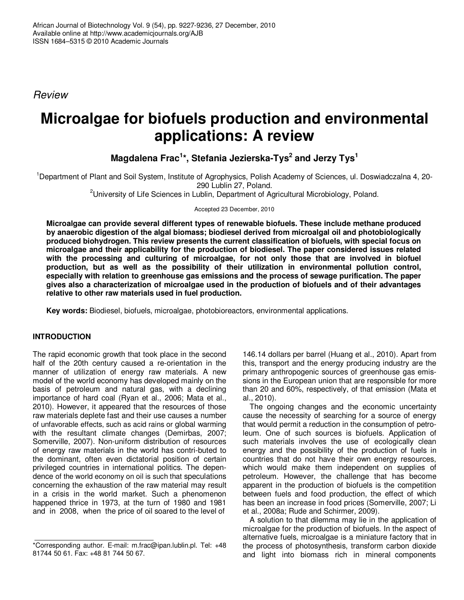*Review*

# **Microalgae for biofuels production and environmental applications: A review**

**Magdalena Frac 1 \*, Stefania Jezierska-Tys 2 and Jerzy Tys 1**

<sup>1</sup>Department of Plant and Soil System, Institute of Agrophysics, Polish Academy of Sciences, ul. Doswiadczalna 4, 20- 290 Lublin 27, Poland.

<sup>2</sup>University of Life Sciences in Lublin, Department of Agricultural Microbiology, Poland.

Accepted 23 December, 2010

**Microalgae can provide several different types of renewable biofuels. These include methane produced by anaerobic digestion of the algal biomass; biodiesel derived from microalgal oil and photobiologically produced biohydrogen. This review presents the current classification of biofuels, with special focus on microalgae and their applicability for the production of biodiesel. The paper considered issues related with the processing and culturing of microalgae, for not only those that are involved in biofuel production, but as well as the possibility of their utilization in environmental pollution control, especially with relation to greenhouse gas emissions and the process of sewage purification. The paper gives also a characterization of microalgae used in the production of biofuels and of their advantages relative to other raw materials used in fuel production.**

**Key words:** Biodiesel, biofuels, microalgae, photobioreactors, environmental applications.

## **INTRODUCTION**

The rapid economic growth that took place in the second half of the 20th century caused a re-orientation in the manner of utilization of energy raw materials. A new model of the world economy has developed mainly on the basis of petroleum and natural gas, with a declining importance of hard coal (Ryan et al., 2006; Mata et al., 2010). However, it appeared that the resources of those raw materials deplete fast and their use causes a number of unfavorable effects, such as acid rains or global warming with the resultant climate changes (Demirbas, 2007; Somerville, 2007). Non-uniform distribution of resources of energy raw materials in the world has contri-buted to the dominant, often even dictatorial position of certain privileged countries in international politics. The dependence of the world economy on oil is such that speculations concerning the exhaustion of the raw material may result in a crisis in the world market. Such a phenomenon happened thrice in 1973, at the turn of 1980 and 1981 and in 2008, when the price of oil soared to the level of

146.14 dollars per barrel (Huang et al., 2010). Apart from this, transport and the energy producing industry are the primary anthropogenic sources of greenhouse gas emissions in the European union that are responsible for more than 20 and 60%, respectively, of that emission (Mata et al., 2010).

The ongoing changes and the economic uncertainty cause the necessity of searching for a source of energy that would permit a reduction in the consumption of petroleum. One of such sources is biofuels. Application of such materials involves the use of ecologically clean energy and the possibility of the production of fuels in countries that do not have their own energy resources, which would make them independent on supplies of petroleum. However, the challenge that has become apparent in the production of biofuels is the competition between fuels and food production, the effect of which has been an increase in food prices (Somerville, 2007; Li et al., 2008a; Rude and Schirmer, 2009).

A solution to that dilemma may lie in the application of microalgae for the production of biofuels. In the aspect of alternative fuels, microalgae is a miniature factory that in the process of photosynthesis, transform carbon dioxide and light into biomass rich in mineral components

<sup>\*</sup>Corresponding author. E-mail: m.frac@ipan.lublin.pl. Tel: +48 81744 50 61. Fax: +48 81 744 50 67.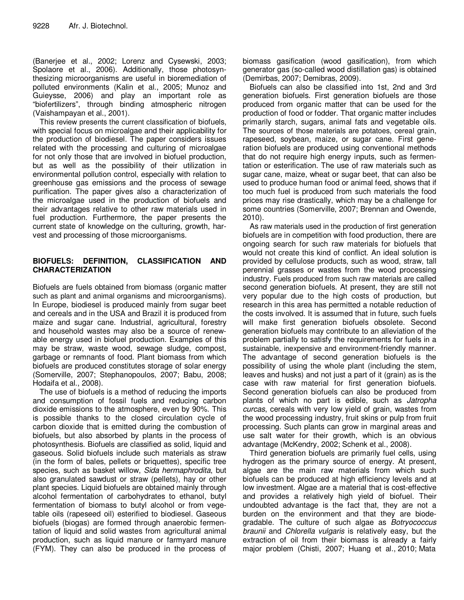(Banerjee et al., 2002; Lorenz and Cysewski, 2003; Spolaore et al., 2006). Additionally, those photosynthesizing microorganisms are useful in bioremediation of polluted environments (Kalin et al., 2005; Munoz and Guieysse, 2006) and play an important role as "biofertilizers", through binding atmospheric nitrogen (Vaishampayan et al., 2001).

This review presents the current classification of biofuels, with special focus on microalgae and their applicability for the production of biodiesel. The paper considers issues related with the processing and culturing of microalgae for not only those that are involved in biofuel production, but as well as the possibility of their utilization in environmental pollution control, especially with relation to greenhouse gas emissions and the process of sewage purification. The paper gives also a characterization of the microalgae used in the production of biofuels and their advantages relative to other raw materials used in fuel production. Furthermore, the paper presents the current state of knowledge on the culturing, growth, harvest and processing of those microorganisms.

#### **BIOFUELS: DEFINITION, CLASSIFICATION AND CHARACTERIZATION**

Biofuels are fuels obtained from biomass (organic matter such as plant and animal organisms and microorganisms). In Europe, biodiesel is produced mainly from sugar beet and cereals and in the USA and Brazil it is produced from maize and sugar cane. Industrial, agricultural, forestry and household wastes may also be a source of renewable energy used in biofuel production. Examples of this may be straw, waste wood, sewage sludge, compost, garbage or remnants of food. Plant biomass from which biofuels are produced constitutes storage of solar energy (Somerville, 2007; Stephanopoulos, 2007; Babu, 2008; Hodaifa et al., 2008).

The use of biofuels is a method of reducing the imports and consumption of fossil fuels and reducing carbon dioxide emissions to the atmosphere, even by 90%. This is possible thanks to the closed circulation cycle of carbon dioxide that is emitted during the combustion of biofuels, but also absorbed by plants in the process of photosynthesis. Biofuels are classified as solid, liquid and gaseous. Solid biofuels include such materials as straw (in the form of bales, pellets or briquettes), specific tree species, such as basket willow, *Sida hermaphrodita*, but also granulated sawdust or straw (pellets), hay or other plant species. Liquid biofuels are obtained mainly through alcohol fermentation of carbohydrates to ethanol, butyl fermentation of biomass to butyl alcohol or from vegetable oils (rapeseed oil) esterified to biodiesel. Gaseous biofuels (biogas) are formed through anaerobic fermentation of liquid and solid wastes from agricultural animal production, such as liquid manure or farmyard manure (FYM). They can also be produced in the process of biomass gasification (wood gasification), from which generator gas (so-called wood distillation gas) is obtained (Demirbas, 2007; Demibras, 2009).

Biofuels can also be classified into 1st, 2nd and 3rd generation biofuels. First generation biofuels are those produced from organic matter that can be used for the production of food or fodder. That organic matter includes primarily starch, sugars, animal fats and vegetable oils. The sources of those materials are potatoes, cereal grain, rapeseed, soybean, maize, or sugar cane. First generation biofuels are produced using conventional methods that do not require high energy inputs, such as fermentation or esterification. The use of raw materials such as sugar cane, maize, wheat or sugar beet, that can also be used to produce human food or animal feed, shows that if too much fuel is produced from such materials the food prices may rise drastically, which may be a challenge for some countries (Somerville, 2007; Brennan and Owende, 2010).

As raw materials used in the production of first generation biofuels are in competition with food production, there are ongoing search for such raw materials for biofuels that would not create this kind of conflict. An ideal solution is provided by cellulose products, such as wood, straw, tall perennial grasses or wastes from the wood processing industry. Fuels produced from such raw materials are called second generation biofuels. At present, they are still not very popular due to the high costs of production, but research in this area has permitted a notable reduction of the costs involved. It is assumed that in future, such fuels will make first generation biofuels obsolete. Second generation biofuels may contribute to an alleviation of the problem partially to satisfy the requirements for fuels in a sustainable, inexpensive and environment-friendly manner. The advantage of second generation biofuels is the possibility of using the whole plant (including the stem, leaves and husks) and not just a part of it (grain) as is the case with raw material for first generation biofuels. Second generation biofuels can also be produced from plants of which no part is edible, such as *Jatropha curcas*, cereals with very low yield of grain, wastes from the wood processing industry, fruit skins or pulp from fruit processing. Such plants can grow in marginal areas and use salt water for their growth, which is an obvious advantage (McKendry, 2002; Schenk et al., 2008).

Third generation biofuels are primarily fuel cells, using hydrogen as the primary source of energy. At present, algae are the main raw materials from which such biofuels can be produced at high efficiency levels and at low investment. Algae are a material that is cost-effective and provides a relatively high yield of biofuel. Their undoubted advantage is the fact that, they are not a burden on the environment and that they are biodegradable. The culture of such algae as *Botryococcus braunii* and *Chlorella vulgaris* is relatively easy, but the extraction of oil from their biomass is already a fairly major problem (Chisti, 2007; Huang et al., 2010; Mata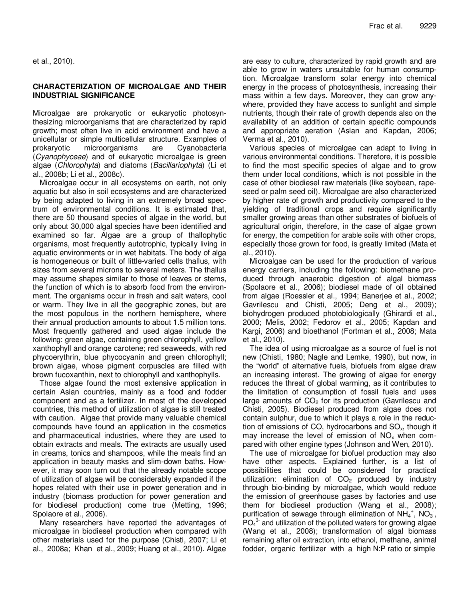#### **CHARACTERIZATION OF MICROALGAE AND THEIR INDUSTRIAL SIGNIFICANCE**

Microalgae are prokaryotic or eukaryotic photosynthesizing microorganisms that are characterized by rapid growth; most often live in acid environment and have a unicellular or simple multicellular structure. Examples of prokaryotic microorganisms are Cyanobacteria (*Cyanophyceae*) and of eukaryotic microalgae is green algae (*Chlorophyta*) and diatoms (*Bacillariophyta*) (Li et al., 2008b; Li et al., 2008c).

Microalgae occur in all ecosystems on earth, not only aquatic but also in soil ecosystems and are characterized by being adapted to living in an extremely broad spectrum of environmental conditions. It is estimated that, there are 50 thousand species of algae in the world, but only about 30,000 algal species have been identified and examined so far. Algae are a group of thallophytic organisms, most frequently autotrophic, typically living in aquatic environments or in wet habitats. The body of alga is homogeneous or built of little-varied cells thallus, with sizes from several microns to several meters. The thallus may assume shapes similar to those of leaves or stems, the function of which is to absorb food from the environment. The organisms occur in fresh and salt waters, cool or warm. They live in all the geographic zones, but are the most populous in the northern hemisphere, where their annual production amounts to about 1.5 million tons. Most frequently gathered and used algae include the following: green algae, containing green chlorophyll, yellow xanthophyll and orange carotene; red seaweeds, with red phycoerythrin, blue phycocyanin and green chlorophyll; brown algae, whose pigment corpuscles are filled with brown fucoxanthin, next to chlorophyll and xanthophylls.

Those algae found the most extensive application in certain Asian countries, mainly as a food and fodder component and as a fertilizer. In most of the developed countries, this method of utilization of algae is still treated with caution. Algae that provide many valuable chemical compounds have found an application in the cosmetics and pharmaceutical industries, where they are used to obtain extracts and meals. The extracts are usually used in creams, tonics and shampoos, while the meals find an application in beauty masks and slim-down baths. However, it may soon turn out that the already notable scope of utilization of algae will be considerably expanded if the hopes related with their use in power generation and in industry (biomass production for power generation and for biodiesel production) come true (Metting, 1996; Spolaore et al., 2006).

Many researchers have reported the advantages of microalgae in biodiesel production when compared with other materials used for the purpose (Chisti, 2007; Li et al., 2008a; Khan et al., 2009; Huang et al., 2010). Algae are easy to culture, characterized by rapid growth and are able to grow in waters unsuitable for human consumption. Microalgae transform solar energy into chemical energy in the process of photosynthesis, increasing their mass within a few days. Moreover, they can grow anywhere, provided they have access to sunlight and simple nutrients, though their rate of growth depends also on the availability of an addition of certain specific compounds and appropriate aeration (Aslan and Kapdan, 2006; Verma et al., 2010).

Various species of microalgae can adapt to living in various environmental conditions. Therefore, it is possible to find the most specific species of algae and to grow them under local conditions, which is not possible in the case of other biodiesel raw materials (like soybean, rapeseed or palm seed oil). Microalgae are also characterized by higher rate of growth and productivity compared to the yielding of traditional crops and require significantly smaller growing areas than other substrates of biofuels of agricultural origin, therefore, in the case of algae grown for energy, the competition for arable soils with other crops, especially those grown for food, is greatly limited (Mata et al., 2010).

Microalgae can be used for the production of various energy carriers, including the following: biomethane produced through anaerobic digestion of algal biomass (Spolaore et al., 2006); biodiesel made of oil obtained from algae (Roessler et al., 1994; Banerjee et al., 2002; Gavrilescu and Chisti, 2005; Deng et al., 2009); biohydrogen produced photobiologically (Ghirardi et al., 2000; Melis, 2002; Fedorov et al., 2005; Kapdan and Kargi, 2006) and bioethanol (Fortman et al., 2008; Mata et al., 2010).

The idea of using microalgae as a source of fuel is not new (Chisti, 1980; Nagle and Lemke, 1990), but now, in the "world" of alternative fuels, biofuels from algae draw an increasing interest. The growing of algae for energy reduces the threat of global warming, as it contributes to the limitation of consumption of fossil fuels and uses large amounts of  $CO<sub>2</sub>$  for its production (Gavrilescu and Chisti, 2005). Biodiesel produced from algae does not contain sulphur, due to which it plays a role in the reduction of emissions of CO, hydrocarbons and  $SO_{x}$ , though it may increase the level of emission of  $NO<sub>x</sub>$  when compared with other engine types (Johnson and Wen, 2010).

The use of microalgae for biofuel production may also have other aspects. Explained further, is a list of possibilities that could be considered for practical utilization: elimination of  $CO<sub>2</sub>$  produced by industry through bio-binding by microalgae, which would reduce the emission of greenhouse gases by factories and use them for biodiesel production (Wang et al., 2008); purification of sewage through elimination of  $NH_4^+$ , NO<sub>3</sub>,  $PO<sub>4</sub><sup>3</sup>$  and utilization of the polluted waters for growing algae (Wang et al., 2008); transformation of algal biomass remaining after oil extraction, into ethanol, methane, animal fodder, organic fertilizer with a high N:P ratio or simple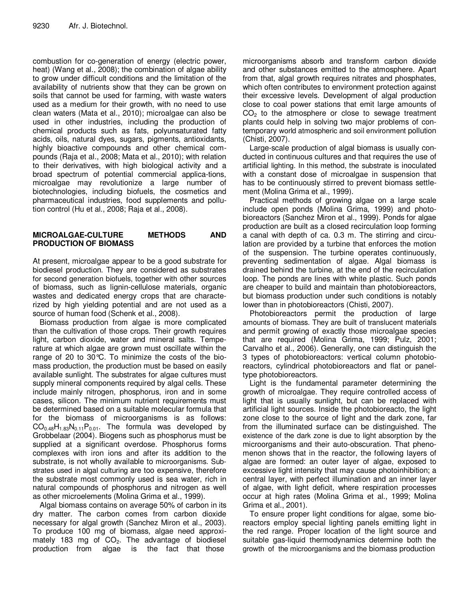combustion for co-generation of energy (electric power, heat) (Wang et al., 2008); the combination of algae ability to grow under difficult conditions and the limitation of the availability of nutrients show that they can be grown on soils that cannot be used for farming, with waste waters used as a medium for their growth, with no need to use clean waters (Mata et al., 2010); microalgae can also be used in other industries, including the production of chemical products such as fats, polyunsaturated fatty acids, oils, natural dyes, sugars, pigments, antioxidants, highly bioactive compounds and other chemical compounds (Raja et al., 2008; Mata et al., 2010); with relation to their derivatives, with high biological activity and a broad spectrum of potential commercial applica-tions, microalgae may revolutionize a large number of biotechnologies, including biofuels, the cosmetics and pharmaceutical industries, food supplements and pollution control (Hu et al., 2008; Raja et al., 2008).

#### **MICROALGAE-CULTURE METHODS AND PRODUCTION OF BIOMASS**

At present, microalgae appear to be a good substrate for biodiesel production. They are considered as substrates for second generation biofuels, together with other sources of biomass, such as lignin-cellulose materials, organic wastes and dedicated energy crops that are characterized by high yielding potential and are not used as a source of human food (Schenk et al., 2008).

Biomass production from algae is more complicated than the cultivation of those crops. Their growth requires light, carbon dioxide, water and mineral salts. Temperature at which algae are grown must oscillate within the range of 20 to 30°C. To minimize the costs of the biomass production, the production must be based on easily available sunlight. The substrates for algae cultures must supply mineral components required by algal cells. These include mainly nitrogen, phosphorus, iron and in some cases, silicon. The minimum nutrient requirements must be determined based on a suitable molecular formula that for the biomass of microorganisms is as follows:  $CO<sub>0.48</sub>H<sub>1.83</sub>N<sub>0.11</sub>P<sub>0.01</sub>$ . The formula was developed by Grobbelaar (2004). Biogens such as phosphorus must be supplied at a significant overdose. Phosphorus forms complexes with iron ions and after its addition to the substrate, is not wholly available to microorganisms. Substrates used in algal culturing are too expensive, therefore the substrate most commonly used is sea water, rich in natural compounds of phosphorus and nitrogen as well as other microelements (Molina Grima et al., 1999).

Algal biomass contains on average 50% of carbon in its dry matter. The carbon comes from carbon dioxide necessary for algal growth (Sanchez Miron et al., 2003). To produce 100 mg of biomass, algae need approximately 183 mg of  $CO<sub>2</sub>$ . The advantage of biodiesel production from algae is the fact that those algae is the fact that those

microorganisms absorb and transform carbon dioxide and other substances emitted to the atmosphere. Apart from that, algal growth requires nitrates and phosphates, which often contributes to environment protection against their excessive levels. Development of algal production close to coal power stations that emit large amounts of  $CO<sub>2</sub>$  to the atmosphere or close to sewage treatment plants could help in solving two major problems of contemporary world atmospheric and soil environment pollution (Chisti, 2007).

Large-scale production of algal biomass is usually conducted in continuous cultures and that requires the use of artificial lighting. In this method, the substrate is inoculated with a constant dose of microalgae in suspension that has to be continuously stirred to prevent biomass settlement (Molina Grima et al., 1999).

Practical methods of growing algae on a large scale include open ponds (Molina Grima, 1999) and photobioreactors (Sanchez Miron et al., 1999). Ponds for algae production are built as a closed recirculation loop forming a canal with depth of ca. 0.3 m. The stirring and circulation are provided by a turbine that enforces the motion of the suspension. The turbine operates continuously, preventing sedimentation of algae. Algal biomass is drained behind the turbine, at the end of the recirculation loop. The ponds are lines with white plastic. Such ponds are cheaper to build and maintain than photobioreactors, but biomass production under such conditions is notably lower than in photobioreactors (Chisti, 2007).

Photobioreactors permit the production of large amounts of biomass. They are built of translucent materials and permit growing of exactly those microalgae species that are required (Molina Grima, 1999; Pulz, 2001; Carvalho et al., 2006). Generally, one can distinguish the 3 types of photobioreactors: vertical column photobioreactors, cylindrical photobioreactors and flat or paneltype photobioreactors.

Light is the fundamental parameter determining the growth of microalgae. They require controlled access of light that is usually sunlight, but can be replaced with artificial light sources. Inside the photobioreacto, the light zone close to the source of light and the dark zone, far from the illuminated surface can be distinguished. The existence of the dark zone is due to light absorption by the microorganisms and their auto-obscuration. That phenomenon shows that in the reactor, the following layers of algae are formed: an outer layer of algae, exposed to excessive light intensity that may cause photoinhibition; a central layer, with perfect illumination and an inner layer of algae, with light deficit, where respiration processes occur at high rates (Molina Grima et al., 1999; Molina Grima et al., 2001).

To ensure proper light conditions for algae, some bioreactors employ special lighting panels emitting light in the red range. Proper location of the light source and suitable gas-liquid thermodynamics determine both the growth of the microorganisms and the biomass production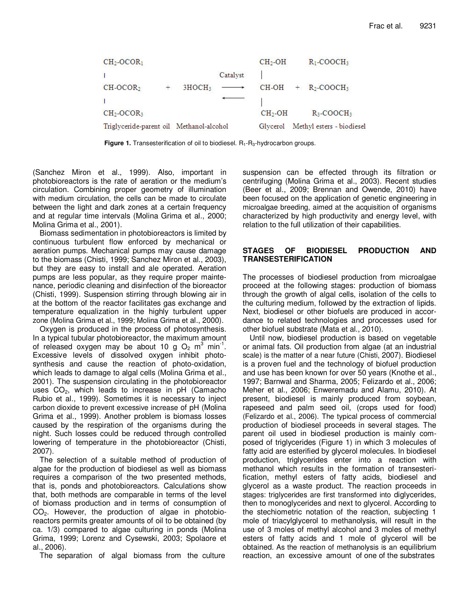| $CH2-OCOR1$                              |                    |          | $CH2-OH$  | $R_1$ -COOCH <sub>3</sub> |
|------------------------------------------|--------------------|----------|-----------|---------------------------|
|                                          |                    | Catalyst |           |                           |
| $CH-OCOR2$<br>$+$                        | 3HOCH <sub>3</sub> |          |           | $CH-OH + R2-COOCH3$       |
|                                          |                    |          |           |                           |
| $CH2-OCOR3$                              |                    |          | $CH2$ -OH | $R_3$ -COOCH <sub>3</sub> |
| Triglyceride-parent oil Methanol-alcohol |                    |          | Glycerol  | Methyl esters - biodiesel |

**Figure 1.** Transesterification of oil to biodiesel.  $R_1$ - $R_3$ -hydrocarbon groups.

(Sanchez Miron et al., 1999). Also, important in photobioreactors is the rate of aeration or the medium's circulation. Combining proper geometry of illumination with medium circulation, the cells can be made to circulate between the light and dark zones at a certain frequency and at regular time intervals (Molina Grima et al., 2000; Molina Grima et al., 2001).

Biomass sedimentation in photobioreactors is limited by continuous turbulent flow enforced by mechanical or aeration pumps. Mechanical pumps may cause damage to the biomass (Chisti, 1999; Sanchez Miron et al., 2003), but they are easy to install and ale operated. Aeration pumps are less popular, as they require proper maintenance, periodic cleaning and disinfection of the bioreactor (Chisti, 1999). Suspension stirring through blowing air in at the bottom of the reactor facilitates gas exchange and temperature equalization in the highly turbulent upper zone (Molina Grima et al., 1999; Molina Grima et al., 2000).

Oxygen is produced in the process of photosynthesis. In a typical tubular photobioreactor, the maximum amount of released oxygen may be about 10 g  $O_2$  m<sup>3</sup> min<sup>-1</sup>. Excessive levels of dissolved oxygen inhibit photosynthesis and cause the reaction of photo-oxidation, which leads to damage to algal cells (Molina Grima et al., 2001). The suspension circulating in the photobioreactor uses  $CO<sub>2</sub>$ , which leads to increase in pH (Camacho Rubio et al., 1999). Sometimes it is necessary to inject carbon dioxide to prevent excessive increase of pH (Molina Grima et al., 1999). Another problem is biomass losses caused by the respiration of the organisms during the night. Such losses could be reduced through controlled lowering of temperature in the photobioreactor (Chisti, 2007).

The selection of a suitable method of production of algae for the production of biodiesel as well as biomass requires a comparison of the two presented methods, that is, ponds and photobioreactors. Calculations show that, both methods are comparable in terms of the level of biomass production and in terms of consumption of CO2. However, the production of algae in photobioreactors permits greater amounts of oil to be obtained (by ca. 1/3) compared to algae culturing in ponds (Molina Grima, 1999; Lorenz and Cysewski, 2003; Spolaore et al., 2006).

The separation of algal biomass from the culture

suspension can be effected through its filtration or centrifuging (Molina Grima et al., 2003). Recent studies (Beer et al., 2009; Brennan and Owende, 2010) have been focused on the application of genetic engineering in microalgae breeding, aimed at the acquisition of organisms characterized by high productivity and energy level, with relation to the full utilization of their capabilities.

### **STAGES OF BIODIESEL PRODUCTION AND TRANSESTERIFICATION**

The processes of biodiesel production from microalgae proceed at the following stages: production of biomass through the growth of algal cells, isolation of the cells to the culturing medium, followed by the extraction of lipids. Next, biodiesel or other biofuels are produced in accordance to related technologies and processes used for other biofuel substrate (Mata et al., 2010).

Until now, biodiesel production is based on vegetable or animal fats. Oil production from algae (at an industrial scale) is the matter of a near future (Chisti, 2007). Biodiesel is a proven fuel and the technology of biofuel production and use has been known for over 50 years (Knothe et al., 1997; Barnwal and Sharma, 2005; Felizardo et al., 2006; Meher et al., 2006; Enweremadu and Alamu, 2010). At present, biodiesel is mainly produced from soybean, rapeseed and palm seed oil, (crops used for food) (Felizardo et al., 2006). The typical process of commercial production of biodiesel proceeds in several stages. The parent oil used in biodiesel production is mainly composed of triglycerides (Figure 1) in which 3 molecules of fatty acid are esterified by glycerol molecules. In biodiesel production, triglycerides enter into a reaction with methanol which results in the formation of transesterification, methyl esters of fatty acids, biodiesel and glycerol as a waste product. The reaction proceeds in stages: triglycerides are first transformed into diglycerides, then to monoglycerides and next to glycerol. According to the stechiometric notation of the reaction, subjecting 1 mole of triacylglycerol to methanolysis, will result in the use of 3 moles of methyl alcohol and 3 moles of methyl esters of fatty acids and 1 mole of glycerol will be obtained. As the reaction of methanolysis is an equilibrium reaction, an excessive amount of one of the substrates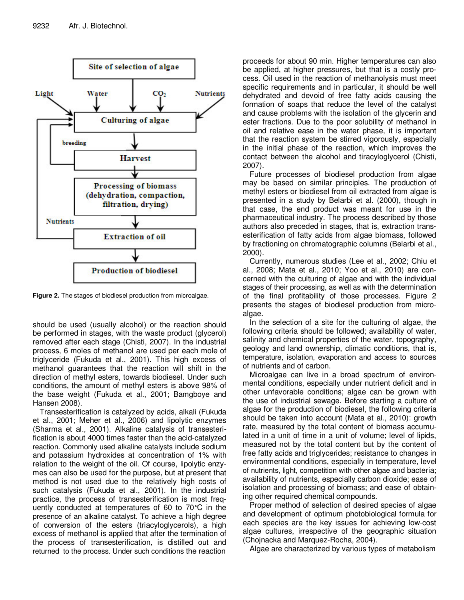

**Figure 2.** The stages of biodiesel production from microalgae.

should be used (usually alcohol) or the reaction should be performed in stages, with the waste product (glycerol) removed after each stage (Chisti, 2007). In the industrial process, 6 moles of methanol are used per each mole of triglyceride (Fukuda et al., 2001). This high excess of methanol guarantees that the reaction will shift in the direction of methyl esters, towards biodiesel. Under such conditions, the amount of methyl esters is above 98% of the base weight (Fukuda et al., 2001; Bamgboye and Hansen 2008).

Transesterification is catalyzed by acids, alkali (Fukuda et al., 2001; Meher et al., 2006) and lipolytic enzymes (Sharma et al., 2001). Alkaline catalysis of transesterification is about 4000 times faster than the acid-catalyzed reaction. Commonly used alkaline catalysts include sodium and potassium hydroxides at concentration of 1% with relation to the weight of the oil. Of course, lipolytic enzymes can also be used for the purpose, but at present that method is not used due to the relatively high costs of such catalysis (Fukuda et al., 2001). In the industrial practice, the process of transesterification is most frequently conducted at temperatures of 60 to 70°C in the presence of an alkaline catalyst. To achieve a high degree of conversion of the esters (triacyloglycerols), a high excess of methanol is applied that after the termination of the process of transesterification, is distilled out and returned to the process. Under such conditions the reaction

proceeds for about 90 min. Higher temperatures can also be applied, at higher pressures, but that is a costly process. Oil used in the reaction of methanolysis must meet specific requirements and in particular, it should be well dehydrated and devoid of free fatty acids causing the formation of soaps that reduce the level of the catalyst and cause problems with the isolation of the glycerin and ester fractions. Due to the poor solubility of methanol in oil and relative ease in the water phase, it is important that the reaction system be stirred vigorously, especially in the initial phase of the reaction, which improves the contact between the alcohol and tiracyloglycerol (Chisti, 2007).

Future processes of biodiesel production from algae may be based on similar principles. The production of methyl esters or biodiesel from oil extracted from algae is presented in a study by Belarbi et al. (2000), though in that case, the end product was meant for use in the pharmaceutical industry. The process described by those authors also preceded in stages, that is, extraction transesterification of fatty acids from algae biomass, followed by fractioning on chromatographic columns (Belarbi et al., 2000).

Currently, numerous studies (Lee et al., 2002; Chiu et al., 2008; Mata et al., 2010; Yoo et al., 2010) are concerned with the culturing of algae and with the individual stages of their processing, as well as with the determination of the final profitability of those processes. Figure 2 presents the stages of biodiesel production from microalgae.

In the selection of a site for the culturing of algae, the following criteria should be followed; availability of water, salinity and chemical properties of the water, topography, geology and land ownership, climatic conditions, that is, temperature, isolation, evaporation and access to sources of nutrients and of carbon.

Microalgae can live in a broad spectrum of environmental conditions, especially under nutrient deficit and in other unfavorable conditions; algae can be grown with the use of industrial sewage. Before starting a culture of algae for the production of biodiesel, the following criteria should be taken into account (Mata et al., 2010): growth rate, measured by the total content of biomass accumulated in a unit of time in a unit of volume; level of lipids, measured not by the total content but by the content of free fatty acids and triglycerides; resistance to changes in environmental conditions, especially in temperature, level of nutrients, light, competition with other algae and bacteria; availability of nutrients, especially carbon dioxide; ease of isolation and processing of biomass; and ease of obtaining other required chemical compounds.

Proper method of selection of desired species of algae and development of optimum photobiological formula for each species are the key issues for achieving low-cost algae cultures, irrespective of the geographic situation (Chojnacka and Marquez-Rocha, 2004).

Algae are characterized by various types of metabolism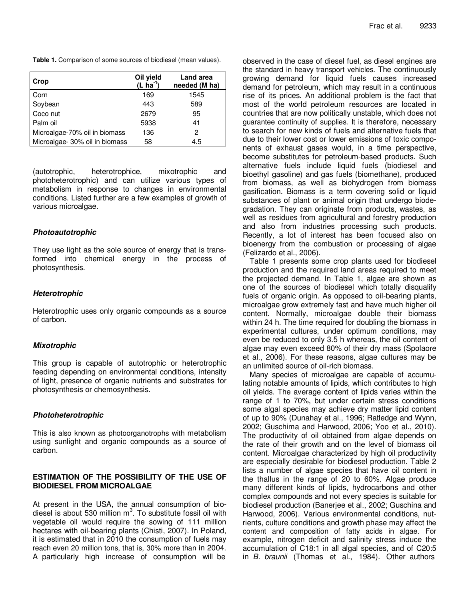**Table 1***.* Comparison of some sources of biodiesel (mean values).

| Crop                           | Oil yield<br>$(L \nvert na^{-1})$ | <b>Land area</b><br>needed (M ha) |
|--------------------------------|-----------------------------------|-----------------------------------|
| Corn                           | 169                               | 1545                              |
| Soybean                        | 443                               | 589                               |
| Coco nut                       | 2679                              | 95                                |
| Palm oil                       | 5938                              | 41                                |
| Microalgae-70% oil in biomass  | 136                               | 2                                 |
| Microalgae- 30% oil in biomass | 58                                | 4.5                               |

(autotrophic, heterotrophice, mixotrophic and photoheterotrophic) and can utilize various types of metabolism in response to changes in environmental conditions. Listed further are a few examples of growth of various microalgae.

#### *Photoautotrophic*

They use light as the sole source of energy that is transformed into chemical energy in the process of photosynthesis.

#### *Heterotrophic*

Heterotrophic uses only organic compounds as a source of carbon.

#### *Mixotrophic*

This group is capable of autotrophic or heterotrophic feeding depending on environmental conditions, intensity of light, presence of organic nutrients and substrates for photosynthesis or chemosynthesis.

#### *Photoheterotrophic*

This is also known as photoorganotrophs with metabolism using sunlight and organic compounds as a source of carbon.

#### **ESTIMATION OF THE POSSIBILITY OF THE USE OF BIODIESEL FROM MICROALGAE**

At present in the USA, the annual consumption of biodiesel is about 530 million m<sup>3</sup>. To substitute fossil oil with vegetable oil would require the sowing of 111 million hectares with oil-bearing plants (Chisti, 2007). In Poland, it is estimated that in 2010 the consumption of fuels may reach even 20 million tons, that is, 30% more than in 2004. A particularly high increase of consumption will be

observed in the case of diesel fuel, as diesel engines are the standard in heavy transport vehicles. The continuously growing demand for liquid fuels causes increased demand for petroleum, which may result in a continuous rise of its prices. An additional problem is the fact that most of the world petroleum resources are located in countries that are now politically unstable, which does not guarantee continuity of supplies. It is therefore, necessary to search for new kinds of fuels and alternative fuels that due to their lower cost or lower emissions of toxic components of exhaust gases would, in a time perspective, become substitutes for petroleum-based products. Such alternative fuels include liquid fuels (biodiesel and bioethyl gasoline) and gas fuels (biomethane), produced from biomass, as well as biohydrogen from biomass gasification. Biomass is a term covering solid or liquid substances of plant or animal origin that undergo biodegradation. They can originate from products, wastes, as well as residues from agricultural and forestry production and also from industries processing such products. Recently, a lot of interest has been focused also on bioenergy from the combustion or processing of algae (Felizardo et al., 2006).

Table 1 presents some crop plants used for biodiesel production and the required land areas required to meet the projected demand. In Table 1, algae are shown as one of the sources of biodiesel which totally disqualify fuels of organic origin. As opposed to oil-bearing plants, microalgae grow extremely fast and have much higher oil content. Normally, microalgae double their biomass within 24 h. The time required for doubling the biomass in experimental cultures, under optimum conditions, may even be reduced to only 3.5 h whereas, the oil content of algae may even exceed 80% of their dry mass (Spolaore et al., 2006). For these reasons, algae cultures may be an unlimited source of oil-rich biomass.

Many species of microalgae are capable of accumulating notable amounts of lipids, which contributes to high oil yields. The average content of lipids varies within the range of 1 to 70%, but under certain stress conditions some algal species may achieve dry matter lipid content of up to 90% (Dunahay et al., 1996; Ratledge and Wynn, 2002; Guschima and Harwood, 2006; Yoo et al., 2010). The productivity of oil obtained from algae depends on the rate of their growth and on the level of biomass oil content. Microalgae characterized by high oil productivity are especially desirable for biodiesel production. Table 2 lists a number of algae species that have oil content in the thallus in the range of 20 to 60%. Algae produce many different kinds of lipids, hydrocarbons and other complex compounds and not every species is suitable for biodiesel production (Banerjee et al., 2002; Guschina and Harwood, 2006). Various environmental conditions, nutrients, culture conditions and growth phase may affect the content and composition of fatty acids in algae. For example, nitrogen deficit and salinity stress induce the accumulation of C18:1 in all algal species, and of C20:5 in *B. braunii* (Thomas et al., 1984). Other authors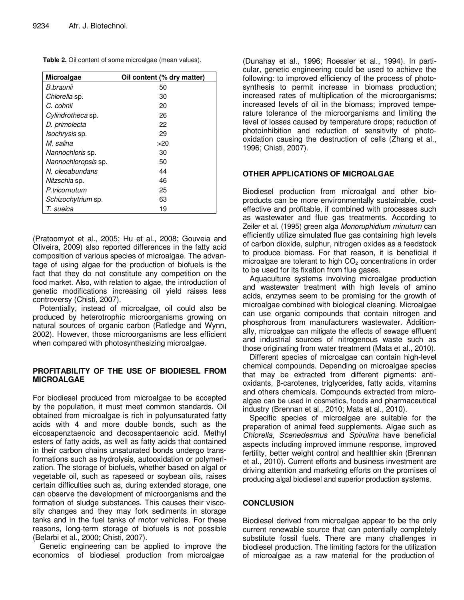**Table 2.** Oil content of some microalgae (mean values).

| <b>Microalgae</b>         | Oil content (% dry matter) |
|---------------------------|----------------------------|
| B.braunii                 | 50                         |
| Chlorella sp.             | 30                         |
| C. cohnii                 | 20                         |
| Cylindrotheca sp.         | 26                         |
| D. primolecta             | 22                         |
| Isochrysis sp.            | 29                         |
| M. salina                 | >20                        |
| Nannochloris sp.          | 30                         |
| Nannochloropsis sp.       | 50                         |
| N. oleoabundans           | 44                         |
| Nitzschia sp.             | 46                         |
| P.tricornutum             | 25                         |
| <i>Schizochytrium</i> sp. | 63                         |
| T. sueica                 | 19                         |

(Pratoomyot et al., 2005; Hu et al., 2008; Gouveia and Oliveira, 2009) also reported differences in the fatty acid composition of various species of microalgae. The advantage of using algae for the production of biofuels is the fact that they do not constitute any competition on the food market. Also, with relation to algae, the introduction of genetic modifications increasing oil yield raises less controversy (Chisti, 2007).

Potentially, instead of microalgae, oil could also be produced by heterotrophic microorganisms growing on natural sources of organic carbon (Ratledge and Wynn, 2002). However, those microorganisms are less efficient when compared with photosynthesizing microalgae.

#### **PROFITABILITY OF THE USE OF BIODIESEL FROM MICROALGAE**

For biodiesel produced from microalgae to be accepted by the population, it must meet common standards. Oil obtained from microalgae is rich in polyunsaturated fatty acids with 4 and more double bonds, such as the eicosapenztaenoic and decosapentaenoic acid. Methyl esters of fatty acids, as well as fatty acids that contained in their carbon chains unsaturated bonds undergo transformations such as hydrolysis, autooxidation or polymerization. The storage of biofuels, whether based on algal or vegetable oil, such as rapeseed or soybean oils, raises certain difficulties such as, during extended storage, one can observe the development of microorganisms and the formation of sludge substances. This causes their viscosity changes and they may fork sediments in storage tanks and in the fuel tanks of motor vehicles. For these reasons, long-term storage of biofuels is not possible (Belarbi et al., 2000; Chisti, 2007).

Genetic engineering can be applied to improve the economics of biodiesel production from microalgae

(Dunahay et al., 1996; Roessler et al., 1994). In particular, genetic engineering could be used to achieve the following: to improved efficiency of the process of photosynthesis to permit increase in biomass production; increased rates of multiplication of the microorganisms; increased levels of oil in the biomass; improved temperature tolerance of the microorganisms and limiting the level of losses caused by temperature drops; reduction of photoinhibition and reduction of sensitivity of photooxidation causing the destruction of cells (Zhang et al., 1996; Chisti, 2007).

#### **OTHER APPLICATIONS OF MICROALGAE**

Biodiesel production from microalgal and other bioproducts can be more environmentally sustainable, costeffective and profitable, if combined with processes such as wastewater and flue gas treatments. According to Zeiler et al. (1995) green alga *Monoruphidium minutum* can efficiently utilize simulated flue gas containing high levels of carbon dioxide, sulphur, nitrogen oxides as a feedstock to produce biomass. For that reason, it is beneficial if microalgae are tolerant to high  $CO<sub>2</sub>$  concentrations in order to be used for its fixation from flue gases.

Aquaculture systems involving microalgae production and wastewater treatment with high levels of amino acids, enzymes seem to be promising for the growth of microalgae combined with biological cleaning. Microalgae can use organic compounds that contain nitrogen and phosphorous from manufacturers wastewater. Additionally, microalgae can mitigate the effects of sewage effluent and industrial sources of nitrogenous waste such as those originating from water treatment (Mata et al., 2010).

Different species of microalgae can contain high-level chemical compounds. Depending on microalgae species that may be extracted from different pigments: anti $oxidants,  $\beta$ -carotenes, triglycerides, fatty acids, vitamins$ and others chemicals. Compounds extracted from microalgae can be used in cosmetics, foods and pharmaceutical industry (Brennan et al., 2010; Mata et al., 2010).

Specific species of microalgae are suitable for the preparation of animal feed supplements. Algae such as *Chlorella*, *Scenedesmus* and *Spirulina* have beneficial aspects including improved immune response, improved fertility, better weight control and healthier skin (Brennan et al., 2010). Current efforts and business investment are driving attention and marketing efforts on the promises of producing algal biodiesel and superior production systems.

#### **CONCLUSION**

Biodiesel derived from microalgae appear to be the only current renewable source that can potentially completely substitute fossil fuels. There are many challenges in biodiesel production. The limiting factors for the utilization of microalgae as a raw material for the production of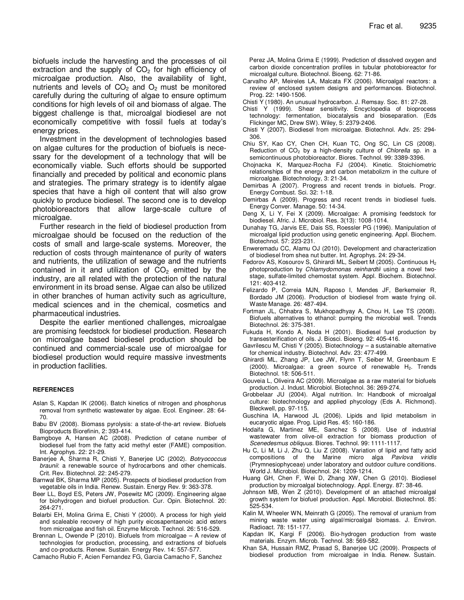biofuels include the harvesting and the processes of oil extraction and the supply of  $CO<sub>2</sub>$  for high efficiency of microalgae production. Also, the availability of light, nutrients and levels of  $CO<sub>2</sub>$  and  $O<sub>2</sub>$  must be monitored carefully during the culturing of algae to ensure optimum conditions for high levels of oil and biomass of algae. The biggest challenge is that, microalgal biodiesel are not economically competitive with fossil fuels at today's energy prices.

Investment in the development of technologies based on algae cultures for the production of biofuels is necessary for the development of a technology that will be economically viable. Such efforts should be supported financially and preceded by political and economic plans and strategies. The primary strategy is to identify algae species that have a high oil content that will also grow quickly to produce biodiesel. The second one is to develop photobioreactors that allow large-scale culture of microalgae.

Further research in the field of biodiesel production from microalgae should be focused on the reduction of the costs of small and large-scale systems. Moreover, the reduction of costs through maintenance of purity of waters and nutrients, the utilization of sewage and the nutrients contained in it and utilization of  $CO<sub>2</sub>$  emitted by the industry, are all related with the protection of the natural environment in its broad sense. Algae can also be utilized in other branches of human activity such as agriculture, medical sciences and in the chemical, cosmetics and pharmaceutical industries.

Despite the earlier mentioned challenges, microalgae are promising feedstock for biodiesel production. Research on microalgae based biodiesel production should be continued and commercial-scale use of microalgae for biodiesel production would require massive investments in production facilities.

#### **REFERENCES**

- Aslan S, Kapdan IK (2006). Batch kinetics of nitrogen and phosphorus removal from synthetic wastewater by algae. Ecol. Engineer. 28: 64- 70.
- Babu BV (2008). Biomass pyrolysis: a state-of-the-art review. Biofuels Bioproducts Biorefinin, 2: 393-414.
- Bamgboye A, Hansen AC (2008). Prediction of cetane number of biodiesel fuel from the fatty acid methyl ester (FAME) composition. Int. Agrophys. 22: 21-29.
- Banerjee A, Sharma R, Chisti Y, Banerjee UC (2002). *Botryococcus braunii*: a renewable source of hydrocarbons and other chemicals. Crit. Rev. Biotechnol. 22: 245-279.
- Barnwal BK, Sharma MP (2005). Prospects of biodiesel production from vegetable oils in India. Renew. Sustain. Energy Rev. 9: 363-378.
- Beer LL, Boyd ES, Peters JW, Posewitz MC (2009). Engineering algae for biohydrogen and biofuel production. Cur. Opin. Biotechnol. 20: 264-271.
- Belarbi EH, Molina Grima E, Chisti Y (2000). A process for high yield and scaleable recovery of high purity eicosapentaenoic acid esters from microalgae and fish oil. Enzyme Microb. Technol. 26: 516-529.
- Brennan L, Owende P (2010). Biofuels from microalgae A review of technologies for production, processing, and extractions of biofuels and co-products. Renew. Sustain. Energy Rev. 14: 557-577.

Camacho Rubio F, Acien Fernandez FG, Garcia Camacho F, Sanchez

Perez JA, Molina Grima E (1999). Prediction of dissolved oxygen and carbon dioxide concentration profiles in tubular photobioreactor for microalgal culture. Biotechnol. Bioeng. 62: 71-86.

- Carvalho AP, Meireles LA, Malcata FX (2006). Microalgal reactors: a review of enclosed system designs and performances. Biotechnol. Prog. 22: 1490-1506.
- Chisti Y (1980). An unusual hydrocarbon. J. Remsay. Soc. 81: 27-28.
- Chisti Y (1999). Shear sensitivity. Encyclopedia of bioprocess technology: fermentation, biocatalysis and bioseparation. (Eds Flickinger MC, Drew SW). Wiley, 5: 2379-2406.
- Chisti Y (2007). Biodiesel from microalgae. Biotechnol. Adv. 25: 294- 306.
- Chiu SY, Kao CY, Chen CH, Kuan TC, Ong SC, Lin CS (2008). Reduction of CO<sup>2</sup> by a high-density culture of *Chlorella* sp. in a semicontinuous photobioreactor. Biores. Technol. 99: 3389-3396.
- Chojnacka K, Marquez-Rocha FJ (2004). Kinetic. Stoichiometric relationships of the energy and carbon metabolizm in the culture of microalgae. Biotechnology, 3: 21-34.
- Demirbas A (2007). Progress and recent trends in biofuels. Progr. Energy Combust. Sci. 32: 1-18.
- Demirbas A (2009). Progress and recent trends in biodiesel fuels. Energy Conver. Manage. 50: 14-34.
- Deng X, Li Y, Fei X (2009). Microalgae: A promising feedstock for biodiesel. Afric. J. Microbiol. Res. 3(13): 1008-1014.
- Dunahay TG, Jarvis EE, Dais SS, Roessler PG (1996). Manipulation of microalgal lipid production using genetic engineering. Appl. Biochem. Biotechnol. 57: 223-231.
- Enweremadu CC, Alamu OJ (2010). Development and characterization of biodiesel from shea nut butter. Int. Agrophys. 24: 29-34.
- Fedorov AS, Kosourov S, Ghirardi ML, Seibert M (2005). Continuous H<sup>2</sup> photoproduction by *Chlamydomonas reinhardtii* using a novel twostage, sulfate-limited chemostat system. Appl. Biochem. Biotechnol. 121: 403-412.
- Felizardo P, Correia MJN, Raposo I, Mendes JF, Berkemeier R, Bordado JM (2006). Production of biodiesel from waste frying oil. Waste Manage. 26: 487-494.
- Fortman JL, Chhabra S, Mukhopadhyay A, Chou H, Lee TS (2008). Biofuels alternatives to ethanol: pumping the microbial well. Trends Biotechnol. 26: 375-381.
- Fukuda H, Kondo A, Noda H (2001). Biodiesel fuel production by transesterification of oils. J. Biosci. Bioeng. 92: 405-416.
- Gavrilescu M, Chisti Y (2005). Biotechnology a sustainable alternative for chemical industry. Biotechnol. Adv. 23: 477-499.
- Ghirardi ML, Zhang JP, Lee JW, Flynn T, Seiber M, Greenbaum E (2000). Microalgae: a green source of renewable H<sub>2</sub>. Trends Biotechnol. 18: 506-511.
- Gouveia L, Oliveira AC (2009). Microalgae as a raw material for biofuels production. J. Indust. Microbiol. Biotechnol. 36: 269-274.
- Grobbelaar JU (2004). Algal nutrition. In: Handbook of microalgal culture: biotechnology and applied phycology (Eds A. Richmond). Bleckwell, pp. 97-115.
- Guschina IA, Harwood JL (2006). Lipids and lipid metabolism in eucaryotic algae. Prog. Lipid Res. 45: 160-186.
- Hodaifa G, Martinez ME, Sanchez S (2008). Use of industrial wastewater from olive-oil extraction for biomass production of *Scenedesmus obliquus*. Biores. Technol. 99: 1111-1117.
- Hu C, Li M, Li J, Zhu Q, Liu Z (2008). Variation of lipid and fatty acid compositions of the Marine micro alga *Pavlova viridis* (Prymnesiophyceae) under laboratory and outdoor culture conditions. World J. Microbiol. Biotechnol. 24: 1209-1214.
- Huang GH, Chen F, Wei D, Zhang XW, Chen G (2010). Biodiesel production by microalgal biotechnology. Appl. Energy. 87: 38-46.
- Johnson MB, Wen Z (2010). Development of an attached microalgal growth system for biofuel production. Appl. Microbiol. Biotechnol. 85: 525-534.
- Kalin M, Wheeler WN, Meinrath G (2005). The removal of uranium from mining waste water using algal/microalgal biomass. J. Environ. Radioact. 78: 151-177.
- Kapdan IK, Kargi F (2006). Bio-hydrogen production from waste materials. Enzym. Microb. Technol. 38: 569-582.
- Khan SA, Hussain RMZ, Prasad S, Banerjee UC (2009). Prospects of biodiesel production from microalgae in India. Renew. Sustain.